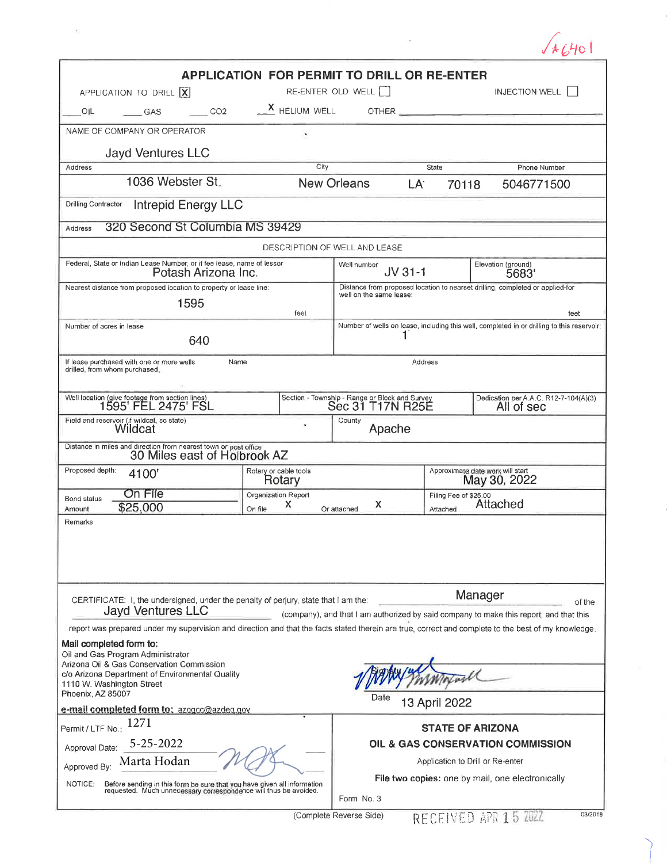| APPLICATION TO DRILL X<br>$\sim$ CO <sub>2</sub><br>OIL<br>$\qquad \qquad$ GAS                                                                                                            | <b>APPLICATION FOR PERMIT TO DRILL OR RE-ENTER</b><br>$X$ HELIUM WELL | RE-ENTER OLD WELL                                                  |                          | INJECTION WELL                                                                                              |  |
|-------------------------------------------------------------------------------------------------------------------------------------------------------------------------------------------|-----------------------------------------------------------------------|--------------------------------------------------------------------|--------------------------|-------------------------------------------------------------------------------------------------------------|--|
| NAME OF COMPANY OR OPERATOR                                                                                                                                                               | $\bullet$                                                             |                                                                    |                          |                                                                                                             |  |
| <b>Jayd Ventures LLC</b>                                                                                                                                                                  |                                                                       |                                                                    |                          |                                                                                                             |  |
| Address                                                                                                                                                                                   | City                                                                  |                                                                    | State                    | Phone Number                                                                                                |  |
| 1036 Webster St.                                                                                                                                                                          |                                                                       | <b>New Orleans</b>                                                 | LA <sup>-</sup><br>70118 | 5046771500                                                                                                  |  |
| <b>Intrepid Energy LLC</b><br><b>Drilling Contractor</b>                                                                                                                                  |                                                                       |                                                                    |                          |                                                                                                             |  |
| 320 Second St Columbia MS 39429<br>Address                                                                                                                                                |                                                                       |                                                                    |                          |                                                                                                             |  |
|                                                                                                                                                                                           |                                                                       | DESCRIPTION OF WELL AND LEASE                                      |                          |                                                                                                             |  |
| Federal, State or Indian Lease Number, or if fee lease, name of lessor<br>Potash Arizona Inc.                                                                                             |                                                                       | Elevation (ground)<br>Well number<br>JV 31-1<br>5683'              |                          |                                                                                                             |  |
| Nearest distance from proposed location to property or lease line:<br>1595                                                                                                                | feet                                                                  | well on the same lease:                                            |                          | Distance from proposed location to nearset drilling, completed or applied-for<br>feet                       |  |
| Number of acres in lease                                                                                                                                                                  |                                                                       |                                                                    |                          | Number of wells on lease, including this well, completed in or drilling to this reservoir:                  |  |
| 640                                                                                                                                                                                       |                                                                       |                                                                    |                          |                                                                                                             |  |
| If lease purchased with one or more wells<br>Name<br>drilled, from whom purchased,                                                                                                        |                                                                       |                                                                    | Address                  |                                                                                                             |  |
| Well location (give footage from section lines)<br>1595' FEL 2475' FSL                                                                                                                    |                                                                       | Section - Township - Range or Block and Survey<br>Sec 31 T17N R25E |                          | Dedication per A.A.C. R12-7-104(A)(3)<br>All of sec                                                         |  |
| Field and reservoir (if wildcat, so state)<br>Wildcat                                                                                                                                     |                                                                       | County<br>Apache                                                   |                          |                                                                                                             |  |
| Distance in miles and direction from nearest town or post office<br>30 Miles east of Holbrook AZ                                                                                          |                                                                       |                                                                    |                          |                                                                                                             |  |
| Proposed depth:<br>4100                                                                                                                                                                   | Rotary or cable tools<br>Rotary                                       |                                                                    |                          | Approximate date work will start<br>May 30, 2022                                                            |  |
| On File<br><b>Bond status</b><br>\$25,000<br>Amount                                                                                                                                       | Organization Report<br>X<br>On file                                   | Filing Fee of \$25.00<br>x<br>Attached<br>Or attached              |                          | Attached                                                                                                    |  |
| Remarks                                                                                                                                                                                   |                                                                       |                                                                    |                          |                                                                                                             |  |
| CERTIFICATE: I, the undersigned, under the penalty of perjury, state that I am the:<br><b>Jayd Ventures LLC</b>                                                                           |                                                                       |                                                                    |                          | Manager<br>of the<br>(company), and that I am authorized by said company to make this report; and that this |  |
| report was prepared under my supervision and direction and that the facts stated therein are true, correct and complete to the best of my knowledge.                                      |                                                                       |                                                                    |                          |                                                                                                             |  |
| Mail completed form to:<br>Oil and Gas Program Administrator<br>Arizona Oil & Gas Conservation Commission<br>c/o Arizona Department of Environmental Quality<br>1110 W. Washington Street |                                                                       |                                                                    |                          |                                                                                                             |  |
| Phoenix, AZ 85007<br>e-mail completed form to: azogcc@azdeq.gov                                                                                                                           |                                                                       |                                                                    | 13 April 2022            |                                                                                                             |  |
| 1271<br>Permit / LTF No.:                                                                                                                                                                 |                                                                       |                                                                    |                          | <b>STATE OF ARIZONA</b>                                                                                     |  |
| 5-25-2022<br>Approval Date:                                                                                                                                                               |                                                                       | OIL & GAS CONSERVATION COMMISSION                                  |                          |                                                                                                             |  |
| Marta Hodan<br>Approved By:                                                                                                                                                               |                                                                       | Application to Drill or Re-enter                                   |                          |                                                                                                             |  |
| NOTICE:<br>Before sending in this form be sure that you have given all information<br>requested. Much unnecessary correspondence will thus be avoided.                                    | File two copies: one by mail, one electronically                      |                                                                    |                          |                                                                                                             |  |
|                                                                                                                                                                                           |                                                                       | Form No. 3                                                         |                          |                                                                                                             |  |
|                                                                                                                                                                                           |                                                                       | (Complete Reverse Side)                                            |                          | DECEIVED APP 15 202<br>03/2018                                                                              |  |

(Complete Reverse Side)

RECEIVED APR 15 2022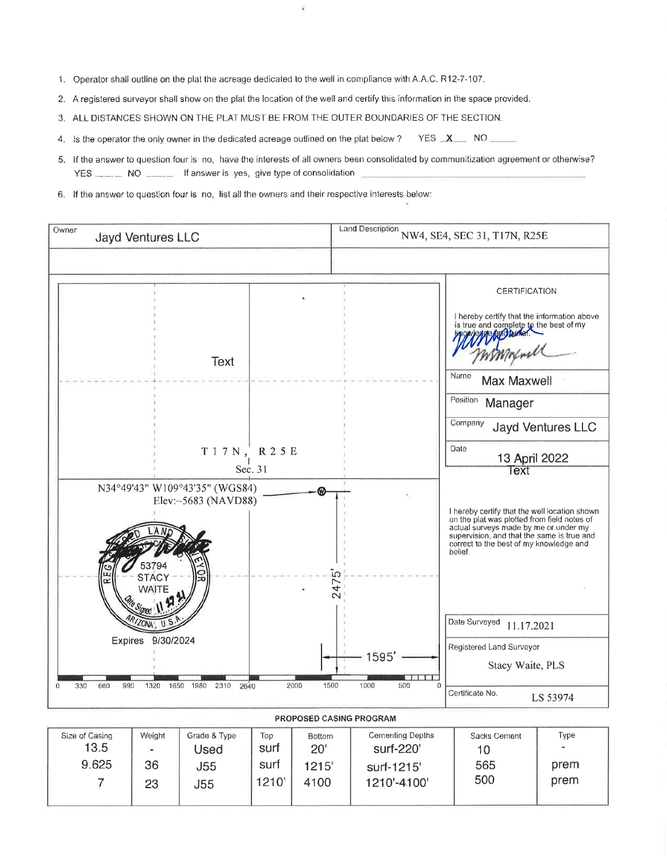- 1. Operator shall outline on the plat the acreage dedicated to the well in compliance with A.A.C. R12-7-107.
- 2. A registered surveyor shall show on the plat the location of the well and certify this information in the space provided.
- 3. ALL DISTANCES SHOWN ON THE PLAT MUST BE FROM THE OUTER BOUNDARIES OF THE SECTION.
- $YES X$  NO 4. Is the operator the only owner in the dedicated acreage outlined on the plat below?
- 5. If the answer to question four is no, have the interests of all owners been consolidated by communitization agreement or otherwise? YES NO ME If answer is yes, give type of consolidation
- 6. If the answer to question four is no, list all the owners and their respective interests below:



| Size of Casing | Weight         | Grade & Type | Top  | Bottom | Cementing Depths | Sacks Cement | l ype.         |
|----------------|----------------|--------------|------|--------|------------------|--------------|----------------|
| 13.5           | $\blacksquare$ | Jsed         | surt | 20'    | surf-220'        | 10           | $\blacksquare$ |
| 9.625          | 36             | J55          | surt | 1215'  | surf-1215'       | 565          | prem           |
|                | 23             | J55          | 1210 | 4100   | 1210'-4100'      | 500          | prem           |
|                |                |              |      |        |                  |              |                |